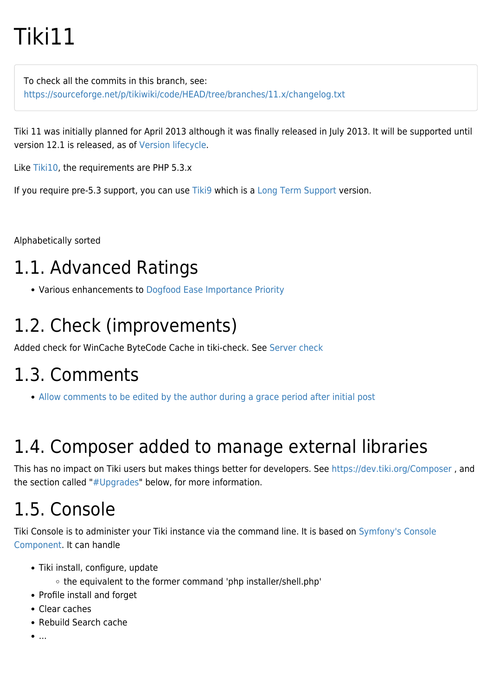# Tiki11

To check all the commits in this branch, see: <https://sourceforge.net/p/tikiwiki/code/HEAD/tree/branches/11.x/changelog.txt>

Tiki 11 was initially planned for April 2013 although it was finally released in July 2013. It will be supported until version 12.1 is released, as of [Version lifecycle.](http://info.tiki.org/Version%20lifecycle)

Like [Tiki10](https://doc.tiki.org/Tiki10), the requirements are PHP 5.3.x

If you require pre-5.3 support, you can use [Tiki9](https://doc.tiki.org/Tiki9) which is a [Long Term Support](https://doc.tiki.org/Long-Term-Support) version.

Alphabetically sorted

# 1.1. Advanced Ratings

• Various enhancements to [Dogfood](http://tiki.org/Dogfood) [Ease Importance Priority](http://dev.tiki.org/Ease%20Importance%20Priority)

# 1.2. Check (improvements)

Added check for WinCache ByteCode Cache in tiki-check. See [Server check](https://doc.tiki.org/Server-Check)

## 1.3. Comments

[Allow comments to be edited by the author during a grace period after initial post](http://tikiwiki.svn.sourceforge.net/viewvc/tikiwiki?view=revision&revision=44059)

# 1.4. Composer added to manage external libraries

This has no impact on Tiki users but makes things better for developers. See <https://dev.tiki.org/Composer>, and the section called ["#Upgrades](#page--1-0)" below, for more information.

# 1.5. Console

Tiki Console is to administer your Tiki instance via the command line. It is based on [Symfony's Console](http://symfony.com/doc/master/components/console/introduction.html) [Component.](http://symfony.com/doc/master/components/console/introduction.html) It can handle

- Tiki install, configure, update
	- the equivalent to the former command 'php installer/shell.php'
- Profile install and forget
- Clear caches
- Rebuild Search cache
- $\bullet$ ....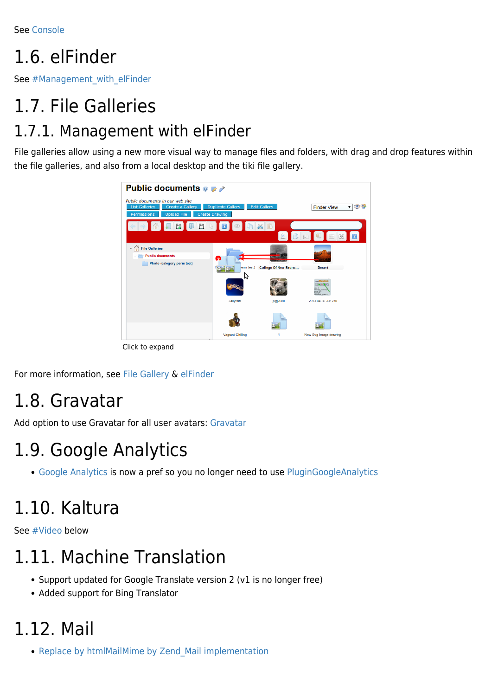See [Console](https://doc.tiki.org/Console)

# 1.6. elFinder

See [#Management\\_with\\_elFinder](#page--1-0)

# 1.7. File Galleries 1.7.1. Management with elFinder

File galleries allow using a new more visual way to manage files and folders, with drag and drop features within the file galleries, and also from a local desktop and the tiki file gallery.



Click to expand

For more information, see [File Gallery](https://doc.tiki.org/File-Gallery) & [elFinder](https://doc.tiki.org/elFinder)

#### 1.8. Gravatar

Add option to use Gravatar for all user avatars: [Gravatar](https://doc.tiki.org/Gravatar)

# 1.9. Google Analytics

[Google Analytics](https://doc.tiki.org/Google-Analytics) is now a pref so you no longer need to use [PluginGoogleAnalytics](https://doc.tiki.org/PluginGoogleAnalytics)

# 1.10. Kaltura

See [#Video](#page--1-0) below

# 1.11. Machine Translation

- Support updated for Google Translate version 2 (v1 is no longer free)
- Added support for Bing Translator

# 1.12. Mail

• Replace by htmlMailMime by Zend Mail implementation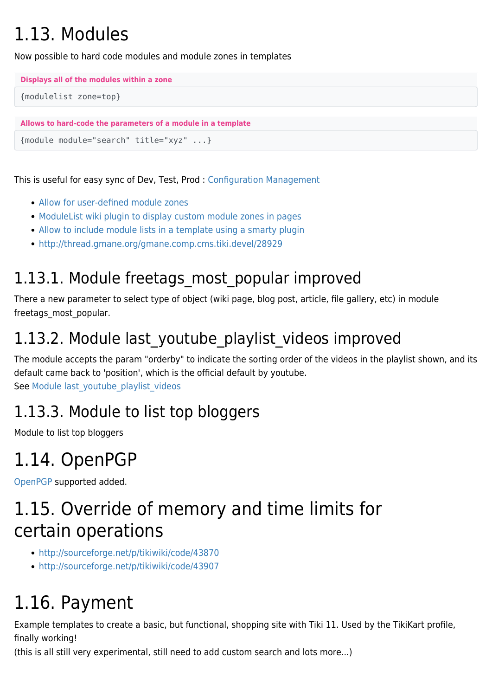# 1.13. Modules

Now possible to hard code modules and module zones in templates

```
Displays all of the modules within a zone
```

```
{modulelist zone=top}
```

```
Allows to hard-code the parameters of a module in a template
```

```
{module module="search" title="xyz" ...}
```
This is useful for easy sync of Dev, Test, Prod : [Configuration Management](http://dev.tiki.org/Configuration%20Management)

- [Allow for user-defined module zones](http://sourceforge.net/p/tikiwiki/code/44270)
- [ModuleList wiki plugin to display custom module zones in pages](http://sourceforge.net/p/tikiwiki/code/44271)
- [Allow to include module lists in a template using a smarty plugin](http://sourceforge.net/p/tikiwiki/code/44024)
- <http://thread.gmane.org/gmane.comp.cms.tiki.devel/28929>

#### 1.13.1. Module freetags most popular improved

There a new parameter to select type of object (wiki page, blog post, article, file gallery, etc) in module freetags\_most\_popular.

#### 1.13.2. Module last youtube playlist videos improved

The module accepts the param "orderby" to indicate the sorting order of the videos in the playlist shown, and its default came back to 'position', which is the official default by youtube. See Module last youtube playlist videos

#### 1.13.3. Module to list top bloggers

Module to list top bloggers

## 1.14. OpenPGP

[OpenPGP](https://doc.tiki.org/OpenPGP) supported added.

## 1.15. Override of memory and time limits for certain operations

- <http://sourceforge.net/p/tikiwiki/code/43870>
- <http://sourceforge.net/p/tikiwiki/code/43907>

# 1.16. Payment

Example templates to create a basic, but functional, shopping site with Tiki 11. Used by the TikiKart profile, finally working!

(this is all still very experimental, still need to add custom search and lots more...)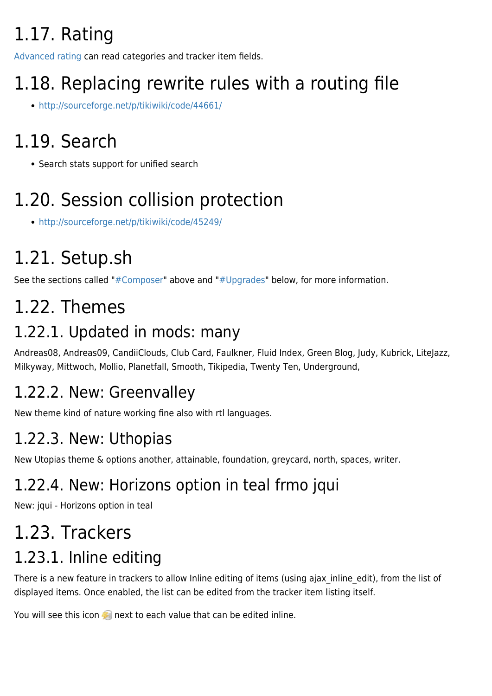# 1.17. Rating

[Advanced rating](https://doc.tiki.org/Advanced%20rating) can read categories and tracker item fields.

# 1.18. Replacing rewrite rules with a routing file

<http://sourceforge.net/p/tikiwiki/code/44661/>

# 1.19. Search

• Search stats support for unified search

# 1.20. Session collision protection

<http://sourceforge.net/p/tikiwiki/code/45249/>

# 1.21. Setup.sh

See the sections called ["#Composer"](#page--1-0) above and ["#Upgrades"](#page--1-0) below, for more information.

# 1.22. Themes

#### 1.22.1. Updated in mods: many

Andreas08, Andreas09, CandiiClouds, Club Card, Faulkner, Fluid Index, Green Blog, Judy, Kubrick, LiteJazz, Milkyway, Mittwoch, Mollio, Planetfall, Smooth, Tikipedia, Twenty Ten, Underground,

### 1.22.2. New: Greenvalley

New theme kind of nature working fine also with rtl languages.

## 1.22.3. New: Uthopias

New Utopias theme & options another, attainable, foundation, greycard, north, spaces, writer.

## 1.22.4. New: Horizons option in teal frmo jqui

New: jqui - Horizons option in teal

# 1.23. Trackers

### 1.23.1. Inline editing

There is a new feature in trackers to allow Inline editing of items (using ajax inline edit), from the list of displayed items. Once enabled, the list can be edited from the tracker item listing itself.

You will see this icon  $\mathcal{F}$  next to each value that can be edited inline.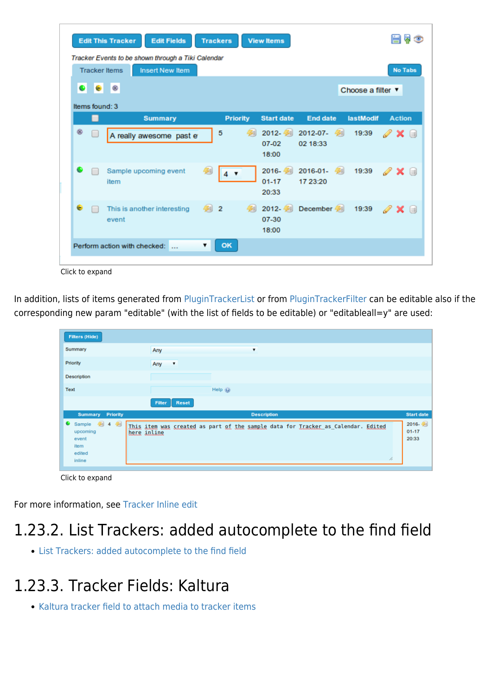|   |                     | Tracker Events to be shown through a Tiki Calendar<br><b>Tracker Items</b><br><b>Insert New Item</b> |                 |                              |                        |                   | <b>No Tabs</b>                           |
|---|---------------------|------------------------------------------------------------------------------------------------------|-----------------|------------------------------|------------------------|-------------------|------------------------------------------|
|   | $\bullet$ $\bullet$ |                                                                                                      |                 |                              |                        | Choose a filter ▼ |                                          |
|   | Items found: 3      |                                                                                                      |                 |                              |                        |                   |                                          |
|   | ▄                   | <b>Summary</b>                                                                                       | <b>Priority</b> | <b>Start date</b>            | <b>End date</b>        | lastModif         | <b>Action</b>                            |
| ø | □                   | A really awesome past e                                                                              | 5<br>451        | 2012- 4<br>07-02<br>18:00    | 2012-07- 4<br>02 18:33 | 19:39             | $\mathscr{D} \times \mathbb{R}$          |
| ۰ |                     | 匔<br>Sample upcoming event<br>item                                                                   | $4 \sqrt{ }$    | 2016-图<br>$01 - 17$<br>20:33 | 2016-01- 4<br>17 23:20 | 19:39             | $\mathscr{D} \mathbf{\times} \mathbf{N}$ |
| ٠ |                     | This is another interesting<br>event                                                                 | 4国 2<br>码       | 2012-4<br>07-30<br>18:00     | December 4             | 19:39             | $\mathscr{D} \times \mathbb{R}$          |

Click to expand

In addition, lists of items generated from [PluginTrackerList](https://doc.tiki.org/PluginTrackerList) or from [PluginTrackerFilter](https://doc.tiki.org/PluginTrackerFilter) can be editable also if the corresponding new param "editable" (with the list of fields to be editable) or "editableall=y" are used:

| <b>Filters (Hide)</b>                                                                   |                                                                                                       |                                   |
|-----------------------------------------------------------------------------------------|-------------------------------------------------------------------------------------------------------|-----------------------------------|
| Summary                                                                                 | Any<br>▼                                                                                              |                                   |
| Priority                                                                                | Any<br>$\overline{\phantom{a}}$                                                                       |                                   |
| Description                                                                             |                                                                                                       |                                   |
| Text                                                                                    | Help $\mathbf{Q}$                                                                                     |                                   |
|                                                                                         | <b>Reset</b><br>Filter                                                                                |                                   |
| <b>Summary Priority</b>                                                                 | <b>Description</b>                                                                                    | <b>Start date</b>                 |
| $\bullet$ Sample $\bullet$ 4 $\bullet$<br>upcoming<br>event<br>item<br>edited<br>inline | This item was created as part of the sample data for Tracker as Calendar. Edited<br>here inline<br>í. | $2016 - 20$<br>$01 - 17$<br>20:33 |
|                                                                                         |                                                                                                       |                                   |

Click to expand

For more information, see [Tracker Inline edit](https://doc.tiki.org/Tracker-Inline-edit)

#### 1.23.2. List Trackers: added autocomplete to the find field

[List Trackers: added autocomplete to the find field](http://sourceforge.net/p/tikiwiki/code/45462)

#### 1.23.3. Tracker Fields: Kaltura

• [Kaltura tracker field to attach media to tracker items](http://sourceforge.net/p/tikiwiki/code/44723)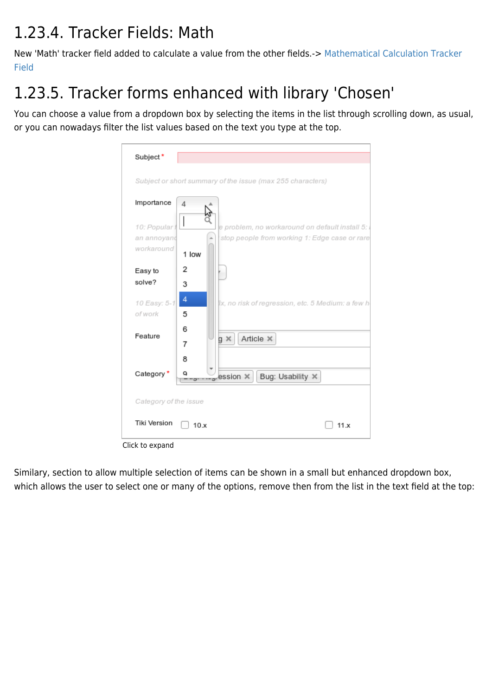#### 1.23.4. Tracker Fields: Math

New 'Math' tracker field added to calculate a value from the other fields.-> [Mathematical Calculation Tracker](https://doc.tiki.org/Mathematical-Calculation-Tracker-Field) [Field](https://doc.tiki.org/Mathematical-Calculation-Tracker-Field)

### 1.23.5. Tracker forms enhanced with library 'Chosen'

You can choose a value from a dropdown box by selecting the items in the list through scrolling down, as usual, or you can nowadays filter the list values based on the text you type at the top.

| Subject*                                  |                                                                                                          |  |
|-------------------------------------------|----------------------------------------------------------------------------------------------------------|--|
|                                           | Subject or short summary of the issue (max 255 characters)                                               |  |
| Importance                                | 4                                                                                                        |  |
| 10: Populart<br>an annoyand<br>workaround | e problem, no workaround on default install 5:<br>stop people from working 1: Edge case or rare<br>1 low |  |
| Easy to<br>solve?                         | 2<br>3                                                                                                   |  |
| 10 Easy: 5-1<br>of work                   | 4<br>ix, no risk of regression, etc. 5 Medium: a few h<br>5                                              |  |
| Feature                                   | 6<br>Article X<br>$g \times$<br>7                                                                        |  |
| Category *                                | 8<br>a<br>Bug: Usability X<br>ession X                                                                   |  |
| Category of the issue                     |                                                                                                          |  |
| <b>Tiki Version</b>                       | 10.x<br>11.x                                                                                             |  |
| Click to expand                           |                                                                                                          |  |

Similary, section to allow multiple selection of items can be shown in a small but enhanced dropdown box, which allows the user to select one or many of the options, remove then from the list in the text field at the top: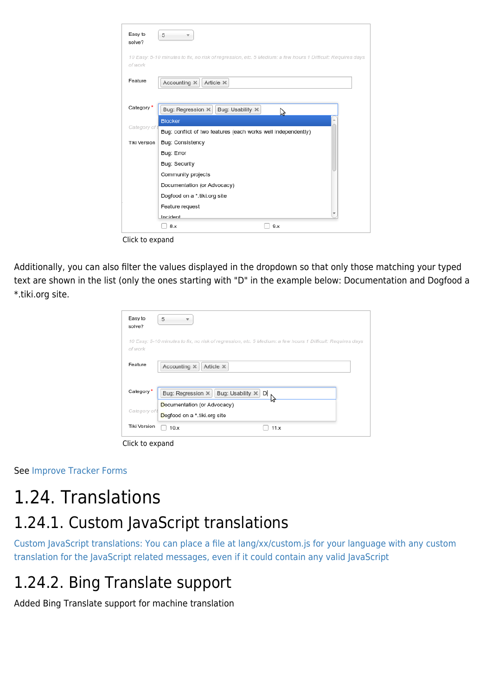| Easy to<br>solve?   | 5                                                                                                          |
|---------------------|------------------------------------------------------------------------------------------------------------|
| of work             | 10 Easy: 5-10 minutes to fix, no risk of regression, etc. 5 Medium: a few hours 1 Difficult: Requires days |
| Feature             | Accounting X<br>Article $\times$                                                                           |
| Category'           | Bug: Regression X<br>Bug: Usability X<br>Z                                                                 |
| Category of         | <b>Blocker</b>                                                                                             |
|                     | Bug: conflict of two features (each works well independently)                                              |
| <b>Tiki Version</b> | Bug: Consistency                                                                                           |
|                     | Bug: Error                                                                                                 |
|                     | Bug: Security                                                                                              |
|                     | Community projects                                                                                         |
|                     | Documentation (or Advocacy)                                                                                |
|                     | Dogfood on a *.tiki.org site                                                                               |
|                     | Feature request                                                                                            |
|                     | Incident                                                                                                   |
|                     | 9.x<br>8.x                                                                                                 |

Click to expand

Additionally, you can also filter the values displayed in the dropdown so that only those matching your typed text are shown in the list (only the ones starting with "D" in the example below: Documentation and Dogfood a \*.tiki.org site.

| Easy to<br>solve?   | 5                                                                                                          |
|---------------------|------------------------------------------------------------------------------------------------------------|
| of work             | 10 Easy: 5-10 minutes to fix, no risk of regression, etc. 5 Medium: a few hours 1 Difficult: Requires days |
| Feature             | Accounting X<br>Article X                                                                                  |
| Category*           | Bug: Usability X<br>Bug: Regression X<br>D                                                                 |
| Category of t       | Documentation (or Advocacy)<br>Dogfood on a *.tiki.org site                                                |
| <b>Tiki Version</b> | 11.x<br>10.x                                                                                               |

Click to expand

See [Improve Tracker Forms](https://doc.tiki.org/Improve-Tracker-Forms)

### 1.24. Translations 1.24.1. Custom JavaScript translations

[Custom JavaScript translations: You can place a file at lang/xx/custom.js for your language with any custom](http://sourceforge.net/p/tikiwiki/code/44525/) [translation for the JavaScript related messages, even if it could contain any valid JavaScript](http://sourceforge.net/p/tikiwiki/code/44525/)

#### 1.24.2. Bing Translate support

Added Bing Translate support for machine translation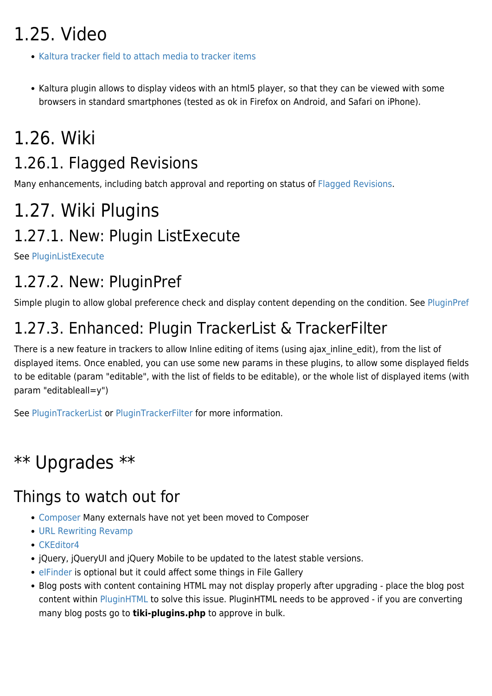# 1.25. Video

- [Kaltura tracker field to attach media to tracker items](http://sourceforge.net/p/tikiwiki/code/44723)
- Kaltura plugin allows to display videos with an html5 player, so that they can be viewed with some browsers in standard smartphones (tested as ok in Firefox on Android, and Safari on iPhone).

## 1.26. Wiki

#### 1.26.1. Flagged Revisions

Many enhancements, including batch approval and reporting on status of [Flagged Revisions.](https://doc.tiki.org/Flagged-Revisions)

# 1.27. Wiki Plugins 1.27.1. New: Plugin ListExecute

See [PluginListExecute](https://doc.tiki.org/PluginListExecute)

#### 1.27.2. New: PluginPref

Simple plugin to allow global preference check and display content depending on the condition. See [PluginPref](https://doc.tiki.org/PluginPref)

#### 1.27.3. Enhanced: Plugin TrackerList & TrackerFilter

There is a new feature in trackers to allow Inline editing of items (using ajax inline edit), from the list of displayed items. Once enabled, you can use some new params in these plugins, to allow some displayed fields to be editable (param "editable", with the list of fields to be editable), or the whole list of displayed items (with param "editableall=y")

See [PluginTrackerList](https://doc.tiki.org/PluginTrackerList) or [PluginTrackerFilter](https://doc.tiki.org/PluginTrackerFilter) for more information.

### \*\* Upgrades \*\*

#### Things to watch out for

- [Composer](http://dev.tiki.org/Composer) Many externals have not yet been moved to Composer
- [URL Rewriting Revamp](http://dev.tiki.org/URL%20Rewriting%20Revamp)
- [CKEditor4](http://dev.tiki.org/CKEditor4)
- jQuery, jQueryUI and jQuery Mobile to be updated to the latest stable versions.
- [elFinder](http://dev.tiki.org/elFinder) is optional but it could affect some things in File Gallery
- Blog posts with content containing HTML may not display properly after upgrading place the blog post content within [PluginHTML](https://doc.tiki.org/PluginHTML) to solve this issue. PluginHTML needs to be approved - if you are converting many blog posts go to **tiki-plugins.php** to approve in bulk.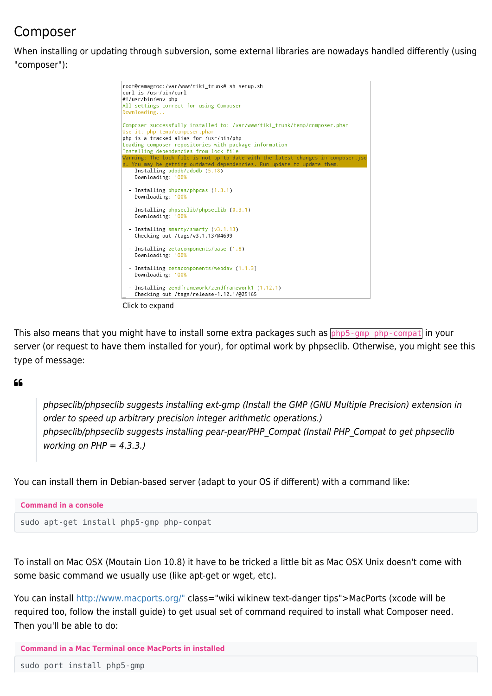#### Composer

When installing or updating through subversion, some external libraries are nowadays handled differently (using "composer"):



Click to expand

This also means that you might have to install some extra packages such as php5-gmp php-compat in your server (or request to have them installed for your), for optimal work by phpseclib. Otherwise, you might see this type of message:

 $66$ 

phpseclib/phpseclib suggests installing ext-gmp (Install the GMP (GNU Multiple Precision) extension in order to speed up arbitrary precision integer arithmetic operations.) phpseclib/phpseclib suggests installing pear-pear/PHP\_Compat (Install PHP\_Compat to get phpseclib working on  $PHP = 4.3.3.$ )

You can install them in Debian-based server (adapt to your OS if different) with a command like:



To install on Mac OSX (Moutain Lion 10.8) it have to be tricked a little bit as Mac OSX Unix doesn't come with some basic command we usually use (like apt-get or wget, etc).

You can install [http://www.macports.org/"](https://doc.tiki.org/tiki-editpage.php?page=http%3A%2F%2Fwww.macports.org%2F) class="wiki wikinew text-danger tips">MacPorts (xcode will be required too, follow the install guide) to get usual set of command required to install what Composer need. Then you'll be able to do:

```
Command in a Mac Terminal once MacPorts in installed
```
sudo port install php5-gmp